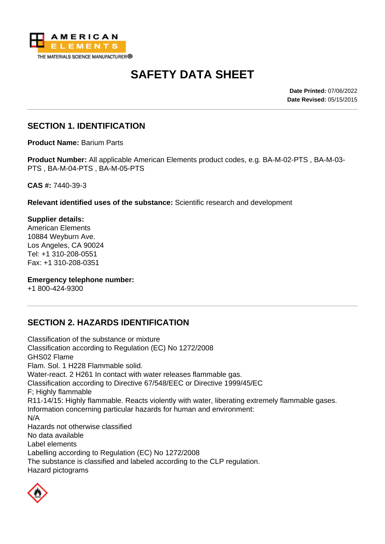

# **SAFETY DATA SHEET**

**Date Printed:** 07/06/2022 **Date Revised:** 05/15/2015

#### **SECTION 1. IDENTIFICATION**

**Product Name:** Barium Parts

**Product Number:** All applicable American Elements product codes, e.g. BA-M-02-PTS , BA-M-03- PTS , BA-M-04-PTS , BA-M-05-PTS

**CAS #:** 7440-39-3

**Relevant identified uses of the substance:** Scientific research and development

**Supplier details:** American Elements 10884 Weyburn Ave. Los Angeles, CA 90024 Tel: +1 310-208-0551 Fax: +1 310-208-0351

#### **Emergency telephone number:**

+1 800-424-9300

# **SECTION 2. HAZARDS IDENTIFICATION**

Classification of the substance or mixture Classification according to Regulation (EC) No 1272/2008 GHS02 Flame Flam. Sol. 1 H228 Flammable solid. Water-react. 2 H261 In contact with water releases flammable gas. Classification according to Directive 67/548/EEC or Directive 1999/45/EC F; Highly flammable R11-14/15: Highly flammable. Reacts violently with water, liberating extremely flammable gases. Information concerning particular hazards for human and environment: N/A Hazards not otherwise classified No data available Label elements Labelling according to Regulation (EC) No 1272/2008 The substance is classified and labeled according to the CLP regulation. Hazard pictograms

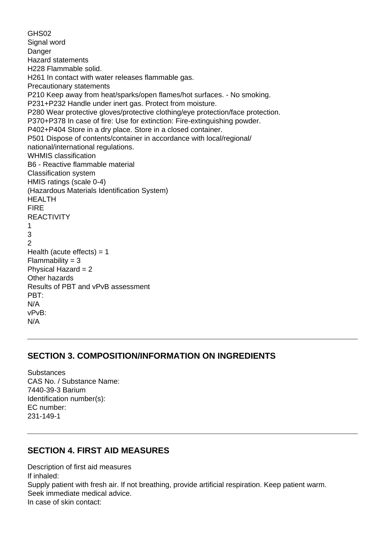GHS02 Signal word Danger Hazard statements H228 Flammable solid. H261 In contact with water releases flammable gas. Precautionary statements P210 Keep away from heat/sparks/open flames/hot surfaces. - No smoking. P231+P232 Handle under inert gas. Protect from moisture. P280 Wear protective gloves/protective clothing/eye protection/face protection. P370+P378 In case of fire: Use for extinction: Fire-extinguishing powder. P402+P404 Store in a dry place. Store in a closed container. P501 Dispose of contents/container in accordance with local/regional/ national/international regulations. WHMIS classification B6 - Reactive flammable material Classification system HMIS ratings (scale 0-4) (Hazardous Materials Identification System) HEALTH FIRE **REACTIVITY** 1 3 2 Health (acute effects)  $= 1$  $Flammability = 3$ Physical Hazard = 2 Other hazards Results of PBT and vPvB assessment PBT: N/A vPvB: N/A

# **SECTION 3. COMPOSITION/INFORMATION ON INGREDIENTS**

Substances CAS No. / Substance Name: 7440-39-3 Barium Identification number(s): EC number: 231-149-1

# **SECTION 4. FIRST AID MEASURES**

Description of first aid measures If inhaled: Supply patient with fresh air. If not breathing, provide artificial respiration. Keep patient warm. Seek immediate medical advice. In case of skin contact: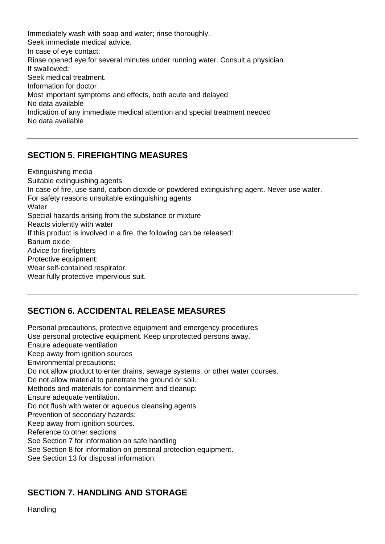Immediately wash with soap and water; rinse thoroughly. Seek immediate medical advice. In case of eye contact: Rinse opened eye for several minutes under running water. Consult a physician. If swallowed: Seek medical treatment. Information for doctor Most important symptoms and effects, both acute and delayed No data available Indication of any immediate medical attention and special treatment needed No data available

# **SECTION 5. FIREFIGHTING MEASURES**

Extinguishing media Suitable extinguishing agents In case of fire, use sand, carbon dioxide or powdered extinguishing agent. Never use water. For safety reasons unsuitable extinguishing agents **Water** Special hazards arising from the substance or mixture Reacts violently with water If this product is involved in a fire, the following can be released: Barium oxide Advice for firefighters Protective equipment: Wear self-contained respirator. Wear fully protective impervious suit.

# **SECTION 6. ACCIDENTAL RELEASE MEASURES**

Personal precautions, protective equipment and emergency procedures Use personal protective equipment. Keep unprotected persons away. Ensure adequate ventilation Keep away from ignition sources Environmental precautions: Do not allow product to enter drains, sewage systems, or other water courses. Do not allow material to penetrate the ground or soil. Methods and materials for containment and cleanup: Ensure adequate ventilation. Do not flush with water or aqueous cleansing agents Prevention of secondary hazards: Keep away from ignition sources. Reference to other sections See Section 7 for information on safe handling See Section 8 for information on personal protection equipment. See Section 13 for disposal information.

# **SECTION 7. HANDLING AND STORAGE**

Handling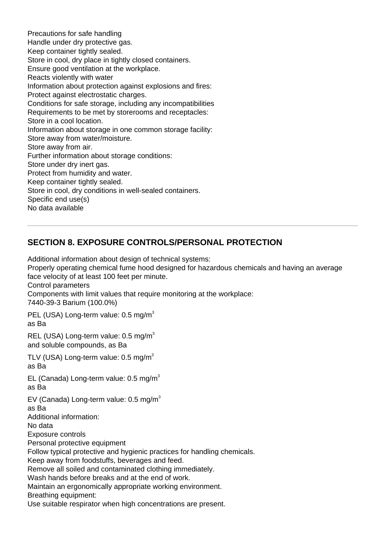Precautions for safe handling Handle under dry protective gas. Keep container tightly sealed. Store in cool, dry place in tightly closed containers. Ensure good ventilation at the workplace. Reacts violently with water Information about protection against explosions and fires: Protect against electrostatic charges. Conditions for safe storage, including any incompatibilities Requirements to be met by storerooms and receptacles: Store in a cool location. Information about storage in one common storage facility: Store away from water/moisture. Store away from air. Further information about storage conditions: Store under dry inert gas. Protect from humidity and water. Keep container tightly sealed. Store in cool, dry conditions in well-sealed containers. Specific end use(s) No data available

# **SECTION 8. EXPOSURE CONTROLS/PERSONAL PROTECTION**

Additional information about design of technical systems:

Properly operating chemical fume hood designed for hazardous chemicals and having an average face velocity of at least 100 feet per minute.

Control parameters

Components with limit values that require monitoring at the workplace:

7440-39-3 Barium (100.0%)

PEL (USA) Long-term value: 0.5 mg/m<sup>3</sup> as Ba

REL (USA) Long-term value: 0.5 mg/m<sup>3</sup> and soluble compounds, as Ba

TLV (USA) Long-term value:  $0.5 \text{ mg/m}^3$ as Ba

EL (Canada) Long-term value:  $0.5$  mg/m<sup>3</sup> as Ba

EV (Canada) Long-term value:  $0.5 \text{ mg/m}^3$ 

as Ba

Additional information:

No data

Exposure controls

Personal protective equipment

Follow typical protective and hygienic practices for handling chemicals.

Keep away from foodstuffs, beverages and feed.

Remove all soiled and contaminated clothing immediately.

Wash hands before breaks and at the end of work.

Maintain an ergonomically appropriate working environment.

Breathing equipment:

Use suitable respirator when high concentrations are present.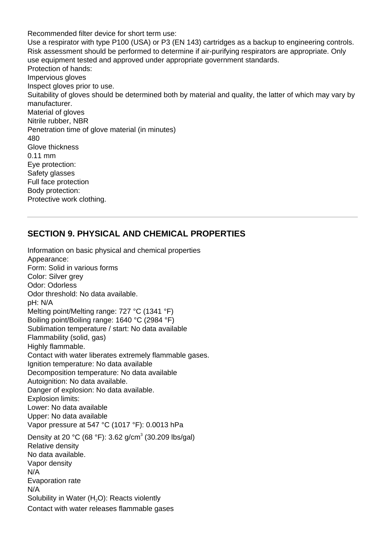Recommended filter device for short term use: Use a respirator with type P100 (USA) or P3 (EN 143) cartridges as a backup to engineering controls. Risk assessment should be performed to determine if air-purifying respirators are appropriate. Only use equipment tested and approved under appropriate government standards. Protection of hands: Impervious gloves Inspect gloves prior to use. Suitability of gloves should be determined both by material and quality, the latter of which may vary by manufacturer. Material of gloves Nitrile rubber, NBR Penetration time of glove material (in minutes) 480 Glove thickness 0.11 mm Eye protection: Safety glasses Full face protection Body protection: Protective work clothing.

#### **SECTION 9. PHYSICAL AND CHEMICAL PROPERTIES**

Information on basic physical and chemical properties Appearance: Form: Solid in various forms Color: Silver grey Odor: Odorless Odor threshold: No data available. pH: N/A Melting point/Melting range: 727 °C (1341 °F) Boiling point/Boiling range: 1640 °C (2984 °F) Sublimation temperature / start: No data available Flammability (solid, gas) Highly flammable. Contact with water liberates extremely flammable gases. Ignition temperature: No data available Decomposition temperature: No data available Autoignition: No data available. Danger of explosion: No data available. Explosion limits: Lower: No data available Upper: No data available Vapor pressure at 547 °C (1017 °F): 0.0013 hPa Density at 20 °C (68 °F): 3.62 g/cm<sup>3</sup> (30.209 lbs/gal) Relative density No data available. Vapor density N/A Evaporation rate N/A Solubility in Water  $(H<sub>2</sub>O)$ : Reacts violently Contact with water releases flammable gases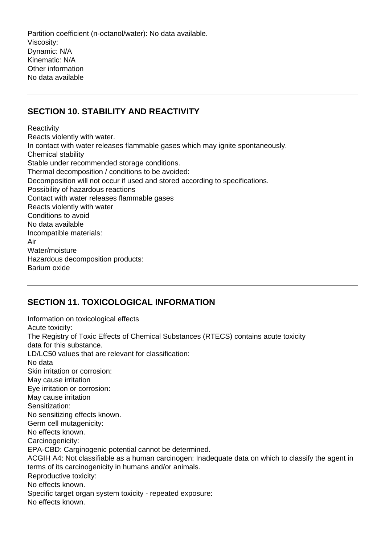Partition coefficient (n-octanol/water): No data available. Viscosity: Dynamic: N/A Kinematic: N/A Other information No data available

# **SECTION 10. STABILITY AND REACTIVITY**

**Reactivity** Reacts violently with water. In contact with water releases flammable gases which may ignite spontaneously. Chemical stability Stable under recommended storage conditions. Thermal decomposition / conditions to be avoided: Decomposition will not occur if used and stored according to specifications. Possibility of hazardous reactions Contact with water releases flammable gases Reacts violently with water Conditions to avoid No data available Incompatible materials: Air Water/moisture Hazardous decomposition products: Barium oxide

#### **SECTION 11. TOXICOLOGICAL INFORMATION**

Information on toxicological effects Acute toxicity: The Registry of Toxic Effects of Chemical Substances (RTECS) contains acute toxicity data for this substance. LD/LC50 values that are relevant for classification: No data Skin irritation or corrosion: May cause irritation Eye irritation or corrosion: May cause irritation Sensitization: No sensitizing effects known. Germ cell mutagenicity: No effects known. Carcinogenicity: EPA-CBD: Carginogenic potential cannot be determined. ACGIH A4: Not classifiable as a human carcinogen: Inadequate data on which to classify the agent in terms of its carcinogenicity in humans and/or animals. Reproductive toxicity: No effects known. Specific target organ system toxicity - repeated exposure: No effects known.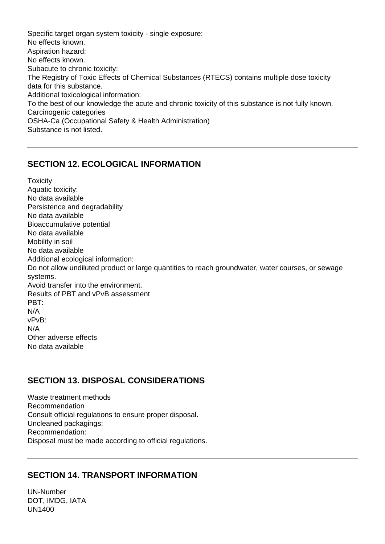Specific target organ system toxicity - single exposure: No effects known. Aspiration hazard: No effects known. Subacute to chronic toxicity: The Registry of Toxic Effects of Chemical Substances (RTECS) contains multiple dose toxicity data for this substance. Additional toxicological information: To the best of our knowledge the acute and chronic toxicity of this substance is not fully known. Carcinogenic categories OSHA-Ca (Occupational Safety & Health Administration) Substance is not listed.

#### **SECTION 12. ECOLOGICAL INFORMATION**

**Toxicity** Aquatic toxicity: No data available Persistence and degradability No data available Bioaccumulative potential No data available Mobility in soil No data available Additional ecological information: Do not allow undiluted product or large quantities to reach groundwater, water courses, or sewage systems. Avoid transfer into the environment. Results of PBT and vPvB assessment PBT: N/A vPvB: N/A Other adverse effects No data available

# **SECTION 13. DISPOSAL CONSIDERATIONS**

Waste treatment methods Recommendation Consult official regulations to ensure proper disposal. Uncleaned packagings: Recommendation: Disposal must be made according to official regulations.

# **SECTION 14. TRANSPORT INFORMATION**

UN-Number DOT, IMDG, IATA UN1400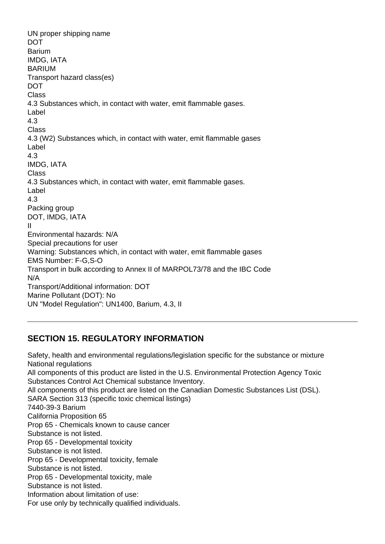UN proper shipping name **DOT Barium** IMDG, IATA BARIUM Transport hazard class(es) **DOT** Class 4.3 Substances which, in contact with water, emit flammable gases. Label 4.3 Class 4.3 (W2) Substances which, in contact with water, emit flammable gases Label 4.3 IMDG, IATA **Class** 4.3 Substances which, in contact with water, emit flammable gases. Label 4.3 Packing group DOT, IMDG, IATA II Environmental hazards: N/A Special precautions for user Warning: Substances which, in contact with water, emit flammable gases EMS Number: F-G,S-O Transport in bulk according to Annex II of MARPOL73/78 and the IBC Code N/A Transport/Additional information: DOT Marine Pollutant (DOT): No UN "Model Regulation": UN1400, Barium, 4.3, II

# **SECTION 15. REGULATORY INFORMATION**

Safety, health and environmental regulations/legislation specific for the substance or mixture National regulations All components of this product are listed in the U.S. Environmental Protection Agency Toxic Substances Control Act Chemical substance Inventory. All components of this product are listed on the Canadian Domestic Substances List (DSL). SARA Section 313 (specific toxic chemical listings) 7440-39-3 Barium California Proposition 65 Prop 65 - Chemicals known to cause cancer Substance is not listed. Prop 65 - Developmental toxicity Substance is not listed. Prop 65 - Developmental toxicity, female Substance is not listed. Prop 65 - Developmental toxicity, male Substance is not listed. Information about limitation of use: For use only by technically qualified individuals.